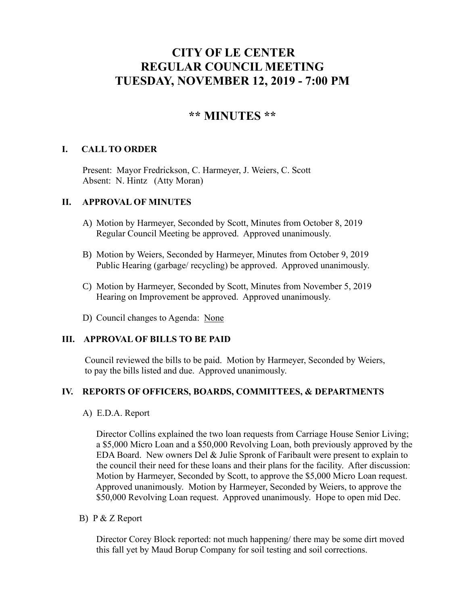# **CITY OF LE CENTER REGULAR COUNCIL MEETING TUESDAY, NOVEMBER 12, 2019 - 7:00 PM**

## **\*\* MINUTES \*\***

### **I. CALL TO ORDER**

Present: Mayor Fredrickson, C. Harmeyer, J. Weiers, C. Scott Absent: N. Hintz (Atty Moran)

#### **II. APPROVAL OF MINUTES**

- A) Motion by Harmeyer, Seconded by Scott, Minutes from October 8, 2019 Regular Council Meeting be approved. Approved unanimously.
- B) Motion by Weiers, Seconded by Harmeyer, Minutes from October 9, 2019 Public Hearing (garbage/ recycling) be approved. Approved unanimously.
- C) Motion by Harmeyer, Seconded by Scott, Minutes from November 5, 2019 Hearing on Improvement be approved. Approved unanimously.
- D) Council changes to Agenda: None

#### **III. APPROVAL OF BILLS TO BE PAID**

Council reviewed the bills to be paid. Motion by Harmeyer, Seconded by Weiers, to pay the bills listed and due. Approved unanimously.

#### **IV. REPORTS OF OFFICERS, BOARDS, COMMITTEES, & DEPARTMENTS**

A) E.D.A. Report

 Director Collins explained the two loan requests from Carriage House Senior Living; a \$5,000 Micro Loan and a \$50,000 Revolving Loan, both previously approved by the EDA Board. New owners Del & Julie Spronk of Faribault were present to explain to the council their need for these loans and their plans for the facility. After discussion: Motion by Harmeyer, Seconded by Scott, to approve the \$5,000 Micro Loan request. Approved unanimously. Motion by Harmeyer, Seconded by Weiers, to approve the \$50,000 Revolving Loan request. Approved unanimously. Hope to open mid Dec.

B) P & Z Report

Director Corey Block reported: not much happening/ there may be some dirt moved this fall yet by Maud Borup Company for soil testing and soil corrections.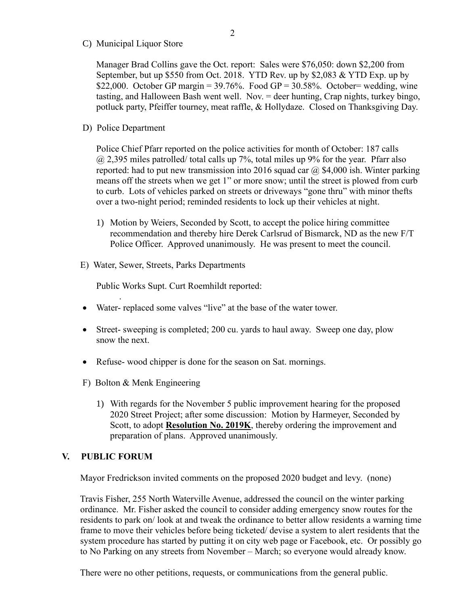C) Municipal Liquor Store

Manager Brad Collins gave the Oct. report: Sales were \$76,050: down \$2,200 from September, but up \$550 from Oct. 2018. YTD Rev. up by \$2,083 & YTD Exp. up by \$22,000. October GP margin =  $39.76\%$ . Food GP =  $30.58\%$ . October= wedding, wine tasting, and Halloween Bash went well. Nov. = deer hunting, Crap nights, turkey bingo, potluck party, Pfeiffer tourney, meat raffle, & Hollydaze. Closed on Thanksgiving Day.

D) Police Department

Police Chief Pfarr reported on the police activities for month of October: 187 calls  $@$  2,395 miles patrolled/ total calls up 7%, total miles up 9% for the year. Pfarr also reported: had to put new transmission into 2016 squad car  $\omega$  \$4,000 ish. Winter parking means off the streets when we get 1" or more snow; until the street is plowed from curb to curb. Lots of vehicles parked on streets or driveways "gone thru" with minor thefts over a two-night period; reminded residents to lock up their vehicles at night.

- 1) Motion by Weiers, Seconded by Scott, to accept the police hiring committee recommendation and thereby hire Derek Carlsrud of Bismarck, ND as the new F/T Police Officer. Approved unanimously. He was present to meet the council.
- E) Water, Sewer, Streets, Parks Departments

Public Works Supt. Curt Roemhildt reported:

- Water- replaced some valves "live" at the base of the water tower.
- Street- sweeping is completed; 200 cu. yards to haul away. Sweep one day, plow snow the next.
- Refuse- wood chipper is done for the season on Sat. mornings.
- F) Bolton & Menk Engineering
	- 1) With regards for the November 5 public improvement hearing for the proposed 2020 Street Project; after some discussion: Motion by Harmeyer, Seconded by Scott, to adopt **Resolution No. 2019K**, thereby ordering the improvement and preparation of plans. Approved unanimously.

#### **V. PUBLIC FORUM**

.

Mayor Fredrickson invited comments on the proposed 2020 budget and levy. (none)

 Travis Fisher, 255 North Waterville Avenue, addressed the council on the winter parking ordinance. Mr. Fisher asked the council to consider adding emergency snow routes for the residents to park on/ look at and tweak the ordinance to better allow residents a warning time frame to move their vehicles before being ticketed/ devise a system to alert residents that the system procedure has started by putting it on city web page or Facebook, etc. Or possibly go to No Parking on any streets from November – March; so everyone would already know.

There were no other petitions, requests, or communications from the general public.